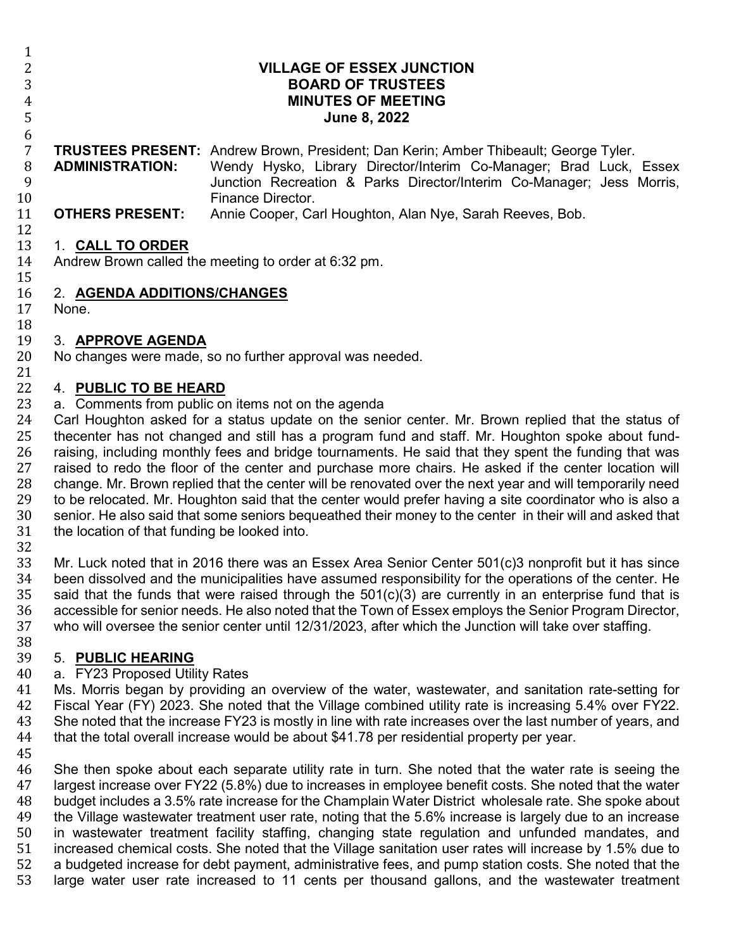6

 $\frac{1}{2}$ 

 **VILLAGE OF ESSEX JUNCTION BOARD OF TRUSTEES MINUTES OF MEETING**<br>5 **MINUTES OF MEETING June 8, 2022**

### 7 **TRUSTEES PRESENT:** Andrew Brown, President; Dan Kerin; Amber Thibeault; George Tyler.

- 8 **ADMINISTRATION:** Wendy Hysko, Library Director/Interim Co-Manager; Brad Luck, Essex<br>9 **ADMINISTRATION:** Junction Recreation & Parks Director/Interim Co-Manager: Jess Morris. 9 Junction Recreation & Parks Director/Interim Co-Manager; Jess Morris, 10 Finance Director.<br>11 **OTHERS PRESENT:** Annie Cooper. Ca
	- Annie Cooper, Carl Houghton, Alan Nye, Sarah Reeves, Bob.

#### $\frac{12}{13}$ 13 1. **CALL TO ORDER**

Andrew Brown called the meeting to order at 6:32 pm.

#### $\frac{15}{16}$ 16 2. **AGENDA ADDITIONS/CHANGES**

None.

### 18<br>19

## 19 3. **APPROVE AGENDA**

No changes were made, so no further approval was needed.

#### 21<br>22 22 4. **PUBLIC TO BE HEARD**

### 23 a. Comments from public on items not on the agenda<br>24 Carl Houghton asked for a status update on the seni

24 Carl Houghton asked for a status update on the senior center. Mr. Brown replied that the status of 25 thecenter has not changed and still has a program fund and staff. Mr. Houghton spoke about fund-25 thecenter has not changed and still has a program fund and staff. Mr. Houghton spoke about fund-<br>26 raising, including monthly fees and bridge tournaments. He said that they spent the funding that was 26 raising, including monthly fees and bridge tournaments. He said that they spent the funding that was 27 raised to redo the floor of the center and purchase more chairs. He asked if the center location will 27 raised to redo the floor of the center and purchase more chairs. He asked if the center location will 28 change. Mr. Brown replied that the center will be renovated over the next vear and will temporarily need 28 change. Mr. Brown replied that the center will be renovated over the next year and will temporarily need<br>29 to be relocated. Mr. Houghton said that the center would prefer having a site coordinator who is also a 29 to be relocated. Mr. Houghton said that the center would prefer having a site coordinator who is also a<br>30 senior. He also said that some seniors bequeathed their money to the center in their will and asked that 30 senior. He also said that some seniors bequeathed their money to the center in their will and asked that 31 the location of that funding be looked into. the location of that funding be looked into.

32<br>33

33 Mr. Luck noted that in 2016 there was an Essex Area Senior Center 501(c)3 nonprofit but it has since<br>34 Deen dissolved and the municipalities have assumed responsibility for the operations of the center. He 34 been dissolved and the municipalities have assumed responsibility for the operations of the center. He 35 said that is 35 said that is 35 said that the funds that were raised through the  $501(c)(3)$  are currently in an enterprise fund that is 36 accessible for senior needs. He also noted that the Town of Essex employs the Senior Program Director. 36 accessible for senior needs. He also noted that the Town of Essex employs the Senior Program Director, 37 who will oversee the senior center until 12/31/2023, after which the Junction will take over staffing. who will oversee the senior center until 12/31/2023, after which the Junction will take over staffing.

# 38<br>39

### 39 5. **PUBLIC HEARING**

40 a. FY23 Proposed Utility Rates<br>41 Ms. Morris began by providing 41 Ms. Morris began by providing an overview of the water, wastewater, and sanitation rate-setting for<br>42 Fiscal Year (FY) 2023. She noted that the Village combined utility rate is increasing 5.4% over FY22. 42 Fiscal Year (FY) 2023. She noted that the Village combined utility rate is increasing 5.4% over FY22.<br>43 She noted that the increase FY23 is mostly in line with rate increases over the last number of vears, and 43 She noted that the increase FY23 is mostly in line with rate increases over the last number of years, and 44 that the total overall increase would be about \$41.78 per residential property per vear. that the total overall increase would be about \$41.78 per residential property per year.

45<br>46 46 She then spoke about each separate utility rate in turn. She noted that the water rate is seeing the 47 I argest increase over FY22 (5.8%) due to increases in employee benefit costs. She noted that the water 47 largest increase over FY22 (5.8%) due to increases in employee benefit costs. She noted that the water 48 budget includes a 3.5% rate increase for the Champlain Water District wholesale rate. She spoke about 49 the Village wastewater treatment user rate, noting that the 5.6% increase is largely due to an increase<br>50 in wastewater treatment facility staffing, changing state regulation and unfunded mandates, and 50 in wastewater treatment facility staffing, changing state regulation and unfunded mandates, and<br>51 increased chemical costs. She noted that the Village sanitation user rates will increase by 1.5% due to 51 increased chemical costs. She noted that the Village sanitation user rates will increase by 1.5% due to<br>52 a budgeted increase for debt payment, administrative fees, and pump station costs. She noted that the 52 a budgeted increase for debt payment, administrative fees, and pump station costs. She noted that the 53 units and the wastewater treatment large water user rate increased to 11 cents per thousand gallons, and the wastewater treatment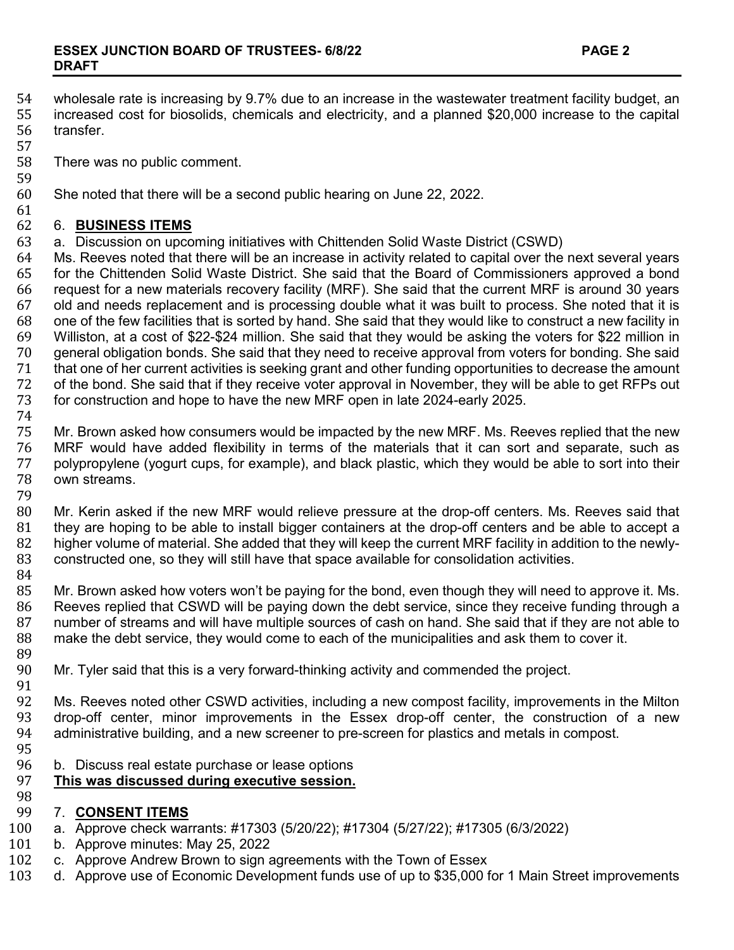- 54 wholesale rate is increasing by 9.7% due to an increase in the wastewater treatment facility budget, an 55 increased cost for biosolids, chemicals and electricity, and a planned \$20,000 increase to the capital 55 increased cost for biosolids, chemicals and electricity, and a planned \$20,000 increase to the capital transfer.
- 57
	- There was no public comment.
- 59<br>60 She noted that there will be a second public hearing on June 22, 2022.
- 

#### 61<br>62 62 6. **BUSINESS ITEMS**

63 a. Discussion on upcoming initiatives with Chittenden Solid Waste District (CSWD)

64 Ms. Reeves noted that there will be an increase in activity related to capital over the next several years<br>65 for the Chittenden Solid Waste District. She said that the Board of Commissioners approved a bond 65 for the Chittenden Solid Waste District. She said that the Board of Commissioners approved a bond<br>66 fequest for a new materials recovery facility (MRF). She said that the current MRF is around 30 years 66 request for a new materials recovery facility (MRF). She said that the current MRF is around 30 years 67 old and needs replacement and is processing double what it was built to process. She noted that it is 68 one of the few facility in 68 one of the few facilities that is sorted by hand. She said that they would like to construct a new facility in 69 Williston, at a cost of \$22-\$24 million. She said that they would be asking the voters for \$22 million in 70 general obligation bonds. She said that they need to receive approval from voters for bonding. She said<br>71 that one of her current activities is seeking grant and other funding opportunities to decrease the amount The that one of her current activities is seeking grant and other funding opportunities to decrease the amount<br>The of the bond. She said that if they receive voter approval in November, they will be able to get RFPs out 72 of the bond. She said that if they receive voter approval in November, they will be able to get RFPs out 73 for construction and hope to have the new MRF open in late 2024-early 2025. for construction and hope to have the new MRF open in late 2024-early 2025.

74

75 Mr. Brown asked how consumers would be impacted by the new MRF. Ms. Reeves replied that the new<br>76 MRF would have added flexibility in terms of the materials that it can sort and separate, such as 76 MRF would have added flexibility in terms of the materials that it can sort and separate, such as<br>77 polypropylene (vogurt cups, for example), and black plastic, which they would be able to sort into their 77 polypropylene (yogurt cups, for example), and black plastic, which they would be able to sort into their 78 own streams. own streams.

79

80 Mr. Kerin asked if the new MRF would relieve pressure at the drop-off centers. Ms. Reeves said that 81 that<br>81 they are hoping to be able to install bigger containers at the drop-off centers and be able to accept a 81 they are hoping to be able to install bigger containers at the drop-off centers and be able to accept a<br>82 bigher volume of material. She added that they will keep the current MRF facility in addition to the newly-82 higher volume of material. She added that they will keep the current MRF facility in addition to the newly-<br>83 constructed one, so they will still have that space available for consolidation activities. constructed one, so they will still have that space available for consolidation activities.

84<br>85

85 Mr. Brown asked how voters won't be paying for the bond, even though they will need to approve it. Ms.<br>86 Reeves replied that CSWD will be paying down the debt service, since they receive funding through a 86 Reeves replied that CSWD will be paying down the debt service, since they receive funding through a<br>87 number of streams and will have multiple sources of cash on hand. She said that if they are not able to 87 number of streams and will have multiple sources of cash on hand. She said that if they are not able to 88<br>88 make the debt service, they would come to each of the municipalities and ask them to cover it. make the debt service, they would come to each of the municipalities and ask them to cover it.

- 89<br>90 Mr. Tyler said that this is a very forward-thinking activity and commended the project.
- 91<br>92 92 Ms. Reeves noted other CSWD activities, including a new compost facility, improvements in the Milton<br>93 drop-off center, minor improvements in the Essex drop-off center, the construction of a new 93 drop-off center, minor improvements in the Essex drop-off center, the construction of a new<br>94 administrative building, and a new screener to pre-screen for plastics and metals in compost. administrative building, and a new screener to pre-screen for plastics and metals in compost.
- 
- 95<br>96 96 b. Discuss real estate purchase or lease options<br>97 This was discussed during executive session.

#### **This was discussed during executive session.**

98<br>99

### 99 7. **CONSENT ITEMS**

- 100 a. Approve check warrants: #17303 (5/20/22); #17304 (5/27/22); #17305 (6/3/2022)<br>101 b. Approve minutes: May 25, 2022
- 101 b. Approve minutes: May 25, 2022<br>102 c. Approve Andrew Brown to sign a
- 102 c. Approve Andrew Brown to sign agreements with the Town of Essex<br>103 d. Approve use of Economic Development funds use of up to \$35,000 f
- d. Approve use of Economic Development funds use of up to \$35,000 for 1 Main Street improvements